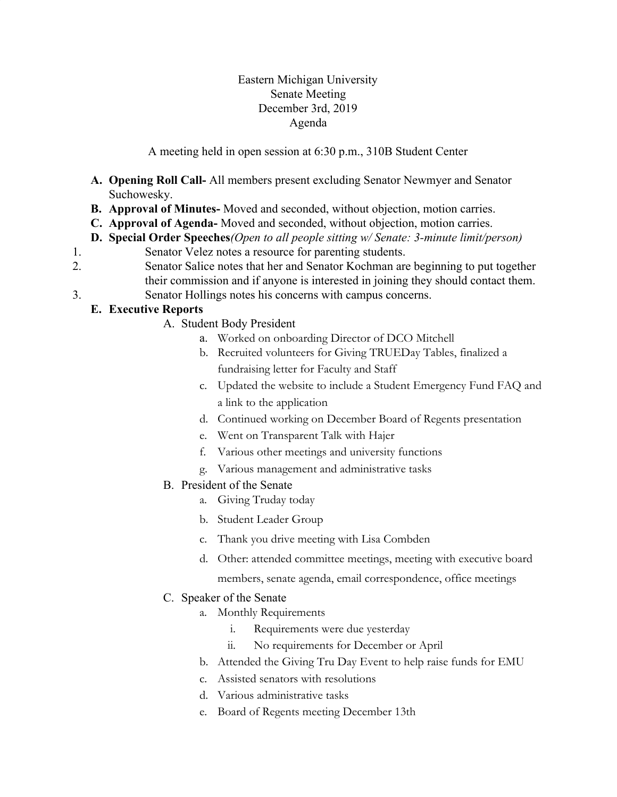## Eastern Michigan University Senate Meeting December 3rd, 2019 Agenda

A meeting held in open session at 6:30 p.m., 310B Student Center

- **A. Opening Roll Call-** All members present excluding Senator Newmyer and Senator Suchowesky.
- **B. Approval of Minutes-** Moved and seconded, without objection, motion carries.
- **C. Approval of Agenda-** Moved and seconded, without objection, motion carries.
- **D. Special Order Speeches***(Open to all people sitting w/ Senate: 3-minute limit/person)*
- 1. Senator Velez notes a resource for parenting students.
- 2. Senator Salice notes that her and Senator Kochman are beginning to put together their commission and if anyone is interested in joining they should contact them.
- 3. Senator Hollings notes his concerns with campus concerns.

# **E. Executive Reports**

- A. Student Body President
	- a. Worked on onboarding Director of DCO Mitchell
	- b. Recruited volunteers for Giving TRUEDay Tables, finalized a fundraising letter for Faculty and Staff
	- c. Updated the website to include a Student Emergency Fund FAQ and a link to the application
	- d. Continued working on December Board of Regents presentation
	- e. Went on Transparent Talk with Hajer
	- f. Various other meetings and university functions
	- g. Various management and administrative tasks
- B. President of the Senate
	- a. Giving Truday today
	- b. Student Leader Group
	- c. Thank you drive meeting with Lisa Combden
	- d. Other: attended committee meetings, meeting with executive board
		- members, senate agenda, email correspondence, office meetings

# C. Speaker of the Senate

- a. Monthly Requirements
	- i. Requirements were due yesterday
	- ii. No requirements for December or April
- b. Attended the Giving Tru Day Event to help raise funds for EMU
- c. Assisted senators with resolutions
- d. Various administrative tasks
- e. Board of Regents meeting December 13th